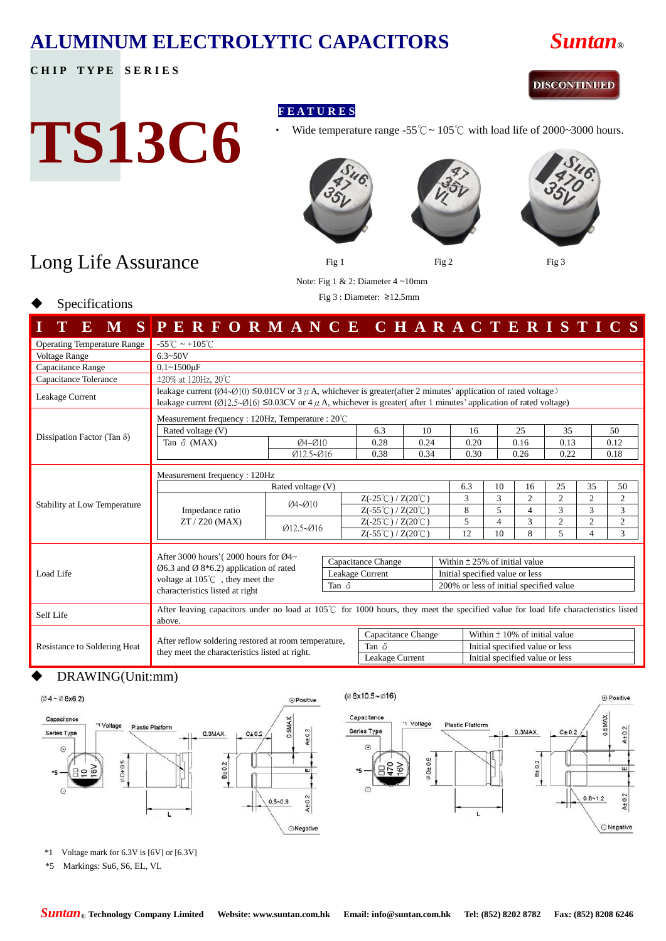### **ALUMINUM ELECTROLYTIC CAPACITORS** *Suntan***®**

#### **CHIP TYPE SERIES**

#### **DISCONTINUED**

# **TS13C6**

- **F E A T U R E S**
	- Wide temperature range -55°C ~ 105°C with load life of 2000~3000 hours.









## Long Life Assurance

Specifications

Note: Fig 1 & 2: Diameter 4 ~10mm

Fig 3 : Diameter: ≥12.5mm

|                                    | E M SPERFORMANCE CHARACTERISTICS                                                                                                                                                                                                                                                                        |                                                             |  |                                                |                                                |                                 |                                 |                                         |                |                |                |                |  |
|------------------------------------|---------------------------------------------------------------------------------------------------------------------------------------------------------------------------------------------------------------------------------------------------------------------------------------------------------|-------------------------------------------------------------|--|------------------------------------------------|------------------------------------------------|---------------------------------|---------------------------------|-----------------------------------------|----------------|----------------|----------------|----------------|--|
| <b>Operating Temperature Range</b> | $-55^{\circ}$ C ~ +105 $^{\circ}$ C                                                                                                                                                                                                                                                                     |                                                             |  |                                                |                                                |                                 |                                 |                                         |                |                |                |                |  |
| <b>Voltage Range</b>               | $6.3 - 50V$                                                                                                                                                                                                                                                                                             |                                                             |  |                                                |                                                |                                 |                                 |                                         |                |                |                |                |  |
| Capacitance Range                  | $0.1 - 1500$ uF                                                                                                                                                                                                                                                                                         |                                                             |  |                                                |                                                |                                 |                                 |                                         |                |                |                |                |  |
| Capacitance Tolerance              | $\pm 20\%$ at 120Hz, 20°C                                                                                                                                                                                                                                                                               |                                                             |  |                                                |                                                |                                 |                                 |                                         |                |                |                |                |  |
| Leakage Current                    | leakage current ( $\varnothing$ 4~ $\varnothing$ 10) $\leq 0.01$ CV or 3 $\mu$ A, whichever is greater(after 2 minutes' application of rated voltage)<br>leakage current ( $\emptyset$ 12.5~ $\emptyset$ 16) ≤0.03CV or 4 $\mu$ A, whichever is greater( after 1 minutes' application of rated voltage) |                                                             |  |                                                |                                                |                                 |                                 |                                         |                |                |                |                |  |
|                                    |                                                                                                                                                                                                                                                                                                         | Measurement frequency : 120Hz, Temperature : $20^{\circ}$ C |  |                                                |                                                |                                 |                                 |                                         |                |                |                |                |  |
|                                    | Rated voltage (V)                                                                                                                                                                                                                                                                                       |                                                             |  | 6.3                                            | 10                                             |                                 | 16                              |                                         | 25             | 35             |                | 50             |  |
| Dissipation Factor (Tan $\delta$ ) | Tan $\delta$ (MAX)                                                                                                                                                                                                                                                                                      | $Q4 - Q10$                                                  |  | 0.28                                           | 0.24                                           |                                 | 0.20                            |                                         | 0.16           | 0.13           |                | 0.12           |  |
|                                    |                                                                                                                                                                                                                                                                                                         | Ø12.5~Ø16                                                   |  | 0.38                                           | 0.34                                           |                                 | 0.30                            |                                         | 0.26           | 0.22           |                | 0.18           |  |
|                                    | Measurement frequency: 120Hz                                                                                                                                                                                                                                                                            |                                                             |  |                                                |                                                |                                 |                                 |                                         |                |                |                |                |  |
|                                    |                                                                                                                                                                                                                                                                                                         | Rated voltage (V)                                           |  |                                                |                                                |                                 | 6.3                             | 10                                      | 16             | 25             | 35             | 50             |  |
| Stability at Low Temperature       |                                                                                                                                                                                                                                                                                                         | $Q4 - Q10$                                                  |  |                                                | $Z(-25^{\circ}\text{C})/Z(20^{\circ}\text{C})$ |                                 | 3                               | 3                                       | $\overline{c}$ | $\overline{c}$ | $\overline{2}$ | $\overline{c}$ |  |
|                                    | Impedance ratio                                                                                                                                                                                                                                                                                         |                                                             |  | $Z(-55^{\circ}\text{C})/Z(20^{\circ}\text{C})$ |                                                |                                 | 8                               | 5                                       | 4              | 3              | 3              | 3              |  |
|                                    | ZT / Z20 (MAX)                                                                                                                                                                                                                                                                                          | $Ø12.5 - Ø16$                                               |  | $Z(-25^{\circ}\text{C})/Z(20^{\circ}\text{C})$ |                                                |                                 | 5                               | 4                                       | 3              | $\overline{2}$ | $\overline{2}$ | $\overline{2}$ |  |
|                                    |                                                                                                                                                                                                                                                                                                         |                                                             |  | $Z(-55^{\circ}\text{C})/Z(20^{\circ}\text{C})$ |                                                |                                 | 12                              | 10                                      | 8              | 5.             | 4              | 3              |  |
|                                    | After 3000 hours' (2000 hours for $\mathcal{O}4\sim$                                                                                                                                                                                                                                                    | Capacitance Change                                          |  | Within $\pm$ 25% of initial value              |                                                |                                 |                                 |                                         |                |                |                |                |  |
| Load Life                          | $\emptyset$ 6.3 and $\emptyset$ 8 <sup>*</sup> 6.2) application of rated<br>Leakage Current<br>voltage at 105℃, they meet the<br>Tan $\delta$                                                                                                                                                           |                                                             |  |                                                |                                                |                                 | Initial specified value or less |                                         |                |                |                |                |  |
|                                    |                                                                                                                                                                                                                                                                                                         |                                                             |  |                                                |                                                |                                 |                                 | 200% or less of initial specified value |                |                |                |                |  |
|                                    | characteristics listed at right                                                                                                                                                                                                                                                                         |                                                             |  |                                                |                                                |                                 |                                 |                                         |                |                |                |                |  |
| Self Life                          | After leaving capacitors under no load at $105^{\circ}$ for 1000 hours, they meet the specified value for load life characteristics listed<br>above.                                                                                                                                                    |                                                             |  |                                                |                                                |                                 |                                 |                                         |                |                |                |                |  |
| Resistance to Soldering Heat       |                                                                                                                                                                                                                                                                                                         | Capacitance Change                                          |  |                                                | Within $\pm$ 10% of initial value              |                                 |                                 |                                         |                |                |                |                |  |
|                                    | After reflow soldering restored at room temperature,<br>they meet the characteristics listed at right.                                                                                                                                                                                                  | Tan $\delta$                                                |  |                                                |                                                | Initial specified value or less |                                 |                                         |                |                |                |                |  |
|                                    |                                                                                                                                                                                                                                                                                                         | Leakage Current                                             |  |                                                | Initial specified value or less                |                                 |                                 |                                         |                |                |                |                |  |

#### DRAWING(Unit:mm)



\*1 Voltage mark for 6.3V is [6V] or [6.3V]

\*5 Markings: Su6, S6, EL, VL